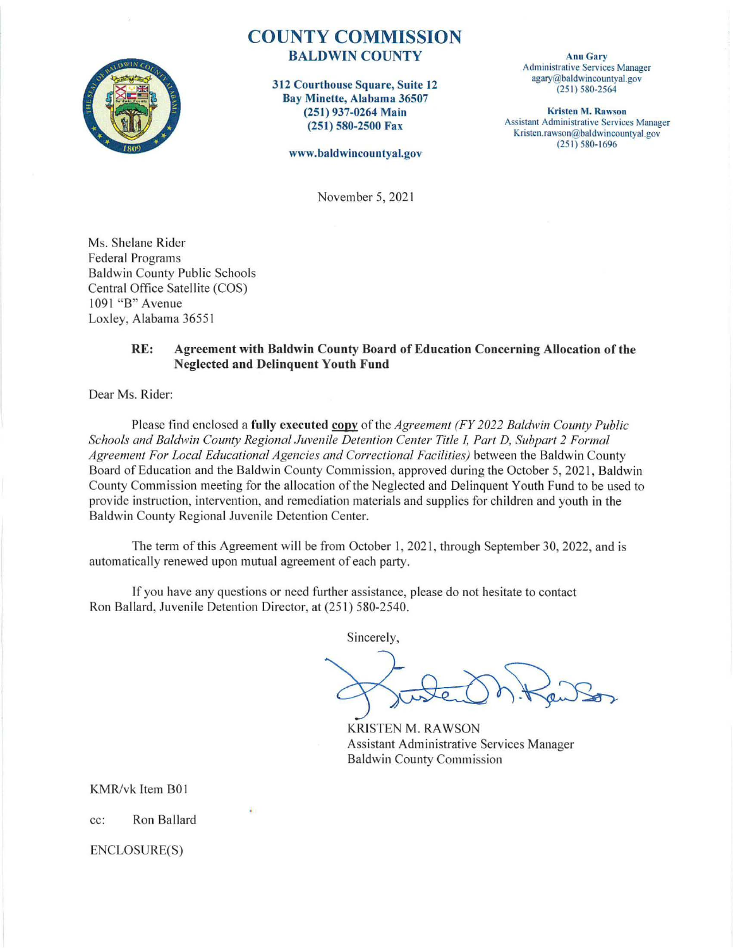

#### COUNTY COMMISSION BALDWIN COUNTY

312 Courthouse Square, Suite 12 Bay Minette, Alabama 36507 (251) 937-0264 Main (251) 580-2500 Fax

www.baldwincountyal.gov

Anu Gary Administrative Services Manager agary@baldwincountyal.gov (251) 580-2564

Kristen M. Rawson Assistant Administrative Services Manager Kristen.rawson@baldwincountyal .gov  $(251) 580 - 1696$ 

November 5, 2021

Ms. Shelane Rider Federal Programs Baldwin County Public Schools Central Office Satellite (COS) 1091 "B" Avenue Loxley, Alabama 36551

#### RE: Agreement with Baldwin County Board of Education Concerning Allocation of the Neglected and Delinquent Youth Fund

Dear Ms. Rider:

Please find enclosed a fully executed copy of the *Agreement (FY 2022 Baldwin County Public Schools and Baldwin County Regional Juvenile Detention Center Title I, Part D, Subpart 2 Formal*  Agreement For Local Educational Agencies and Correctional Facilities) between the Baldwin County Board of Education and the Baldwin County Commission, approved during the October 5, 2021, Baldwin County Commission meeting for the allocation of the Neglected and Delinquent Youth Fund to be used to prov ide instruction, intervention, and remediation materials and supplies for children and youth in the Baldwin County Regional Juvenile Detention Center.

The term of this Agreement will be from October 1, 2021, through September 30, 2022, and is automatically renewed upon mutual agreement of each party.

If you have any questions or need further assistance, please do not hesitate to contact Ron Ballard, Juvenile Detention Director, at (251) 580-2540.

Sincerely,

KRJSTEN M. RAWSON Assistant Administrative Services Manager Baldwin County Commission

KMR/vk Item BO!

cc: Ron Ballard

ENCLOSURE(S)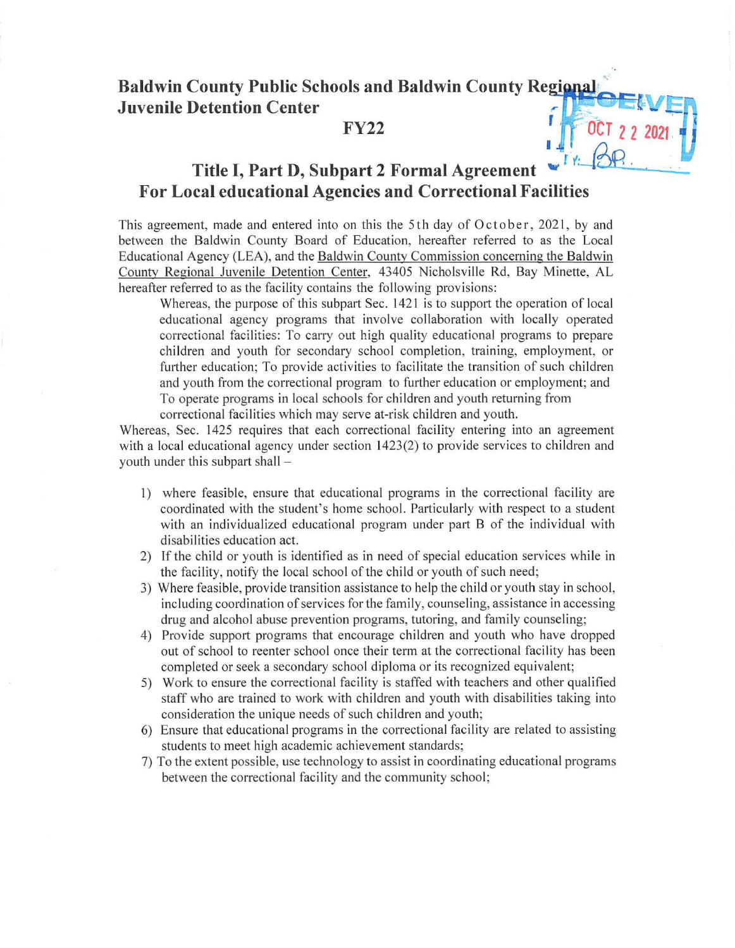# **Baldwin County Public Schools and Baldwin County Regional Juvenile Detention Center**

### **FY22**

## **Title I, Part D, Subpart 2 Formal Agreement For Local educational Agencies and Correctional Facilities**

This agreement, made and entered into on this the 5th day of October, 2021, by and between the Baldwin County Board of Education, hereafter referred to as the Local Educational Agency (LEA), and the Baldwin County Commission concerning the Baldwin County Regional Juvenile Detention Center, 43405 Nicholsville Rd, Bay Minette, AL hereafter referred to as the facility contains the following provisions:

Whereas, the purpose of this subpart Sec.  $1421$  is to support the operation of local educational agency programs that involve collaboration with locally operated correctional facilities: To carry out high quality educational programs to prepare children and youth for secondary school completion, training, employment, or futther education; To provide activities to facilitate the transition of such children and youth from the correctional program to futther education or employment; and To operate programs in local schools for children and youth returning from correctional facilities which may serve at-risk children and youth.

Whereas, Sec. 1425 requires that each correctional facility entering into an agreement with a local educational agency under section  $1423(2)$  to provide services to children and youth under this subpart shall -

- I) where feasible, ensure that educational programs in the correctional facility are coordinated with the student's home school. Patticularly with respect to a student with an individualized educational program under part B of the individual with disabilities education act.
- 2) If the child or youth is identified as in need of special education services while in the facility, notify the local school of the child or youth of such need;
- 3) Where feasible, provide transition assistance to help the child or youth stay in school, including coordination of services for the family, counseling, assistance in accessing drug and alcohol abuse prevention programs, tutoring, and family counseling;
- 4) Provide support programs that encourage children and youth who have dropped out of school to reenter school once their term at the correctional facility has been completed or seek a secondary school diploma or its recognized equivalent;
- 5) Work to ensure the correctional facility is staffed with teachers and other qualified staff who are trained to work with children and youth with disabilities taking into consideration the unique needs of such children and youth;
- 6) Ensure that educational programs in the correctional facility are related to assisting students to meet high academic achievement standards;
- 7) To the extent possible, use technology to assist in coordinating educational programs between the correctional facility and the community school;